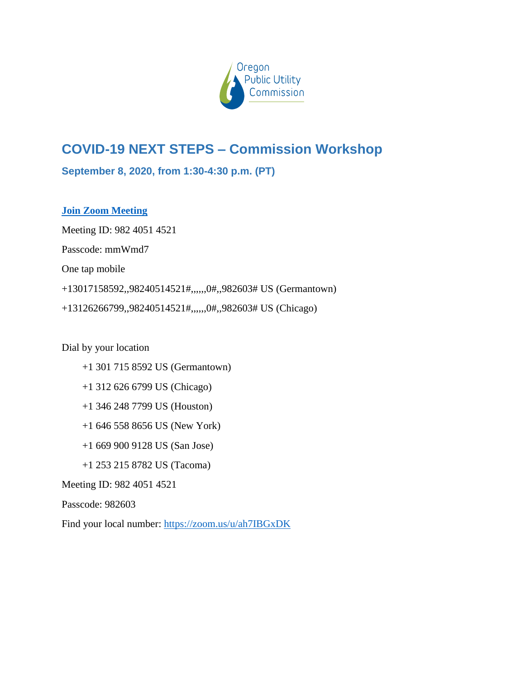

# **COVID-19 NEXT STEPS – Commission Workshop**

**September 8, 2020, from 1:30-4:30 p.m. (PT)**

# **[Join Zoom Meeting](https://zoom.us/j/98240514521?pwd=RUJMTWQ3WWg1aFN1enFEUS9tT1NJUT09)**

Meeting ID: 982 4051 4521 Passcode: mmWmd7 One tap mobile +13017158592,,98240514521#,,,,,,0#,,982603# US (Germantown) +13126266799,,98240514521#,,,,,,0#,,982603# US (Chicago)

### Dial by your location

- +1 301 715 8592 US (Germantown)
- +1 312 626 6799 US (Chicago)
- +1 346 248 7799 US (Houston)
- +1 646 558 8656 US (New York)
- +1 669 900 9128 US (San Jose)
- +1 253 215 8782 US (Tacoma)

### Meeting ID: 982 4051 4521

Passcode: 982603

Find your local number:<https://zoom.us/u/ah7IBGxDK>